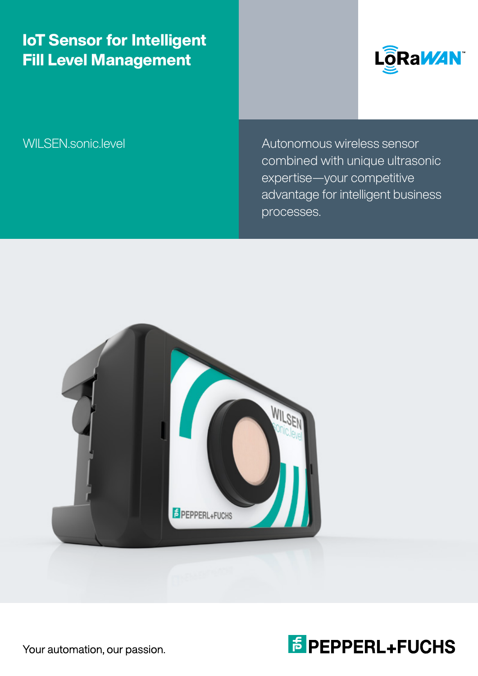## IoT Sensor for Intelligent Fill Level Management



WILSEN.sonic.level Autonomous wireless sensor combined with unique ultrasonic expertise—your competitive advantage for intelligent business processes.





Your automation, our passion.